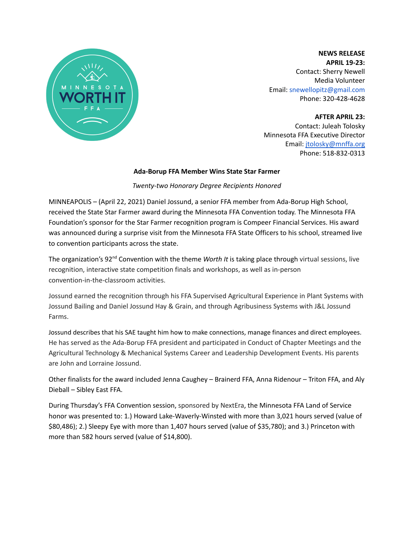

**NEWS RELEASE APRIL 19-23:** Contact: Sherry Newell Media Volunteer Email: snewellopitz@gmail.com Phone: 320-428-4628

**AFTER APRIL 23:** Contact: Juleah Tolosky Minnesota FFA Executive Director Email: [jtolosky@mnffa.org](mailto:jtolosky@mnffa.org) Phone: 518-832-0313

#### **Ada-Borup FFA Member Wins State Star Farmer**

*Twenty-two Honorary Degree Recipients Honored*

MINNEAPOLIS – (April 22, 2021) Daniel Jossund, a senior FFA member from Ada-Borup High School, received the State Star Farmer award during the Minnesota FFA Convention today. The Minnesota FFA Foundation's sponsor for the Star Farmer recognition program is Compeer Financial Services. His award was announced during a surprise visit from the Minnesota FFA State Officers to his school, streamed live to convention participants across the state.

The organization's 92<sup>nd</sup> Convention with the theme *Worth It* is taking place through virtual sessions, live recognition, interactive state competition finals and workshops, as well as in-person convention-in-the-classroom activities.

Jossund earned the recognition through his FFA Supervised Agricultural Experience in Plant Systems with Jossund Bailing and Daniel Jossund Hay & Grain, and through Agribusiness Systems with J&L Jossund Farms.

Jossund describes that his SAE taught him how to make connections, manage finances and direct employees. He has served as the Ada-Borup FFA president and participated in Conduct of Chapter Meetings and the Agricultural Technology & Mechanical Systems Career and Leadership Development Events. His parents are John and Lorraine Jossund.

Other finalists for the award included Jenna Caughey – Brainerd FFA, Anna Ridenour – Triton FFA, and Aly Dieball – Sibley East FFA.

During Thursday's FFA Convention session, sponsored by NextEra, the Minnesota FFA Land of Service honor was presented to: 1.) Howard Lake-Waverly-Winsted with more than 3,021 hours served (value of \$80,486); 2.) Sleepy Eye with more than 1,407 hours served (value of \$35,780); and 3.) Princeton with more than 582 hours served (value of \$14,800).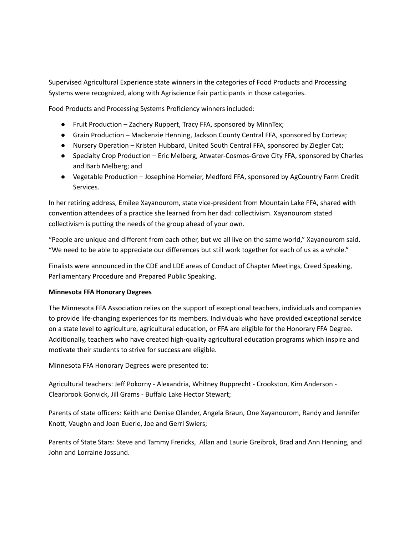Supervised Agricultural Experience state winners in the categories of Food Products and Processing Systems were recognized, along with Agriscience Fair participants in those categories.

Food Products and Processing Systems Proficiency winners included:

- Fruit Production Zachery Ruppert, Tracy FFA, sponsored by MinnTex;
- Grain Production Mackenzie Henning, Jackson County Central FFA, sponsored by Corteva;
- Nursery Operation Kristen Hubbard, United South Central FFA, sponsored by Ziegler Cat;
- Specialty Crop Production Eric Melberg, Atwater-Cosmos-Grove City FFA, sponsored by Charles and Barb Melberg; and
- Vegetable Production Josephine Homeier, Medford FFA, sponsored by AgCountry Farm Credit Services.

In her retiring address, Emilee Xayanourom, state vice-president from Mountain Lake FFA, shared with convention attendees of a practice she learned from her dad: collectivism. Xayanourom stated collectivism is putting the needs of the group ahead of your own.

"People are unique and different from each other, but we all live on the same world," Xayanourom said. "We need to be able to appreciate our differences but still work together for each of us as a whole."

Finalists were announced in the CDE and LDE areas of Conduct of Chapter Meetings, Creed Speaking, Parliamentary Procedure and Prepared Public Speaking.

# **Minnesota FFA Honorary Degrees**

The Minnesota FFA Association relies on the support of exceptional teachers, individuals and companies to provide life-changing experiences for its members. Individuals who have provided exceptional service on a state level to agriculture, agricultural education, or FFA are eligible for the Honorary FFA Degree. Additionally, teachers who have created high-quality agricultural education programs which inspire and motivate their students to strive for success are eligible.

Minnesota FFA Honorary Degrees were presented to:

Agricultural teachers: Jeff Pokorny - Alexandria, Whitney Rupprecht - Crookston, Kim Anderson - Clearbrook Gonvick, Jill Grams - Buffalo Lake Hector Stewart;

Parents of state officers: Keith and Denise Olander, Angela Braun, One Xayanourom, Randy and Jennifer Knott, Vaughn and Joan Euerle, Joe and Gerri Swiers;

Parents of State Stars: Steve and Tammy Frericks, Allan and Laurie Greibrok, Brad and Ann Henning, and John and Lorraine Jossund.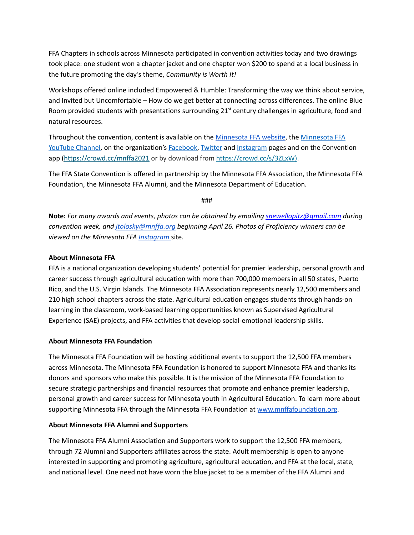FFA Chapters in schools across Minnesota participated in convention activities today and two drawings took place: one student won a chapter jacket and one chapter won \$200 to spend at a local business in the future promoting the day's theme, *Community is Worth It!*

Workshops offered online included Empowered & Humble: Transforming the way we think about service, and Invited but Uncomfortable – How do we get better at connecting across differences. The online Blue Room provided students with presentations surrounding 21<sup>st</sup> century challenges in agriculture, food and natural resources.

Throughout the convention, content is available on the [Minnesota](https://www.mnffa.org/) FFA website, the [Minnesota](https://www.youtube.com/user/minnesotaffa) FFA [YouTube](https://www.youtube.com/user/minnesotaffa) Channel, on the organization's [Facebook,](https://www.facebook.com/mnffa) [Twitter](https://twitter.com/MNFFA) and [Instagram](https://www.instagram.com/mnffa/) pages and on the Convention app (https://crowd.cc/mnffa2021 or by download from <https://crowd.cc/s/3ZLxW>).

The FFA State Convention is offered in partnership by the Minnesota FFA Association, the Minnesota FFA Foundation, the Minnesota FFA Alumni, and the Minnesota Department of Education.

###

**Note:** *For many awards and events, photos can be obtained by emailing [snewellopitz@gmail.com](mailto:snewellopitz@gmail.com) during convention week, and [jtolosky@mnffa.org](mailto:jtolosky@mnffa.org) beginning April 26. Photos of Proficiency winners can be viewed on the Minnesota FFA [Instagram](https://www.instagram.com/mnffa/.)* site.

## **About Minnesota FFA**

FFA is a national organization developing students' potential for premier leadership, personal growth and career success through agricultural education with more than 700,000 members in all 50 states, Puerto Rico, and the U.S. Virgin Islands. The Minnesota FFA Association represents nearly 12,500 members and 210 high school chapters across the state. Agricultural education engages students through hands-on learning in the classroom, work-based learning opportunities known as Supervised Agricultural Experience (SAE) projects, and FFA activities that develop social-emotional leadership skills.

### **About Minnesota FFA Foundation**

The Minnesota FFA Foundation will be hosting additional events to support the 12,500 FFA members across Minnesota. The Minnesota FFA Foundation is honored to support Minnesota FFA and thanks its donors and sponsors who make this possible. It is the mission of the Minnesota FFA Foundation to secure strategic partnerships and financial resources that promote and enhance premier leadership, personal growth and career success for Minnesota youth in Agricultural Education. To learn more about supporting Minnesota FFA through the Minnesota FFA Foundation at [www.mnffafoundation.org.](http://www.mnffafoundation.org)

# **About Minnesota FFA Alumni and Supporters**

The Minnesota FFA Alumni Association and Supporters work to support the 12,500 FFA members, through 72 Alumni and Supporters affiliates across the state. Adult membership is open to anyone interested in supporting and promoting agriculture, agricultural education, and FFA at the local, state, and national level. One need not have worn the blue jacket to be a member of the FFA Alumni and